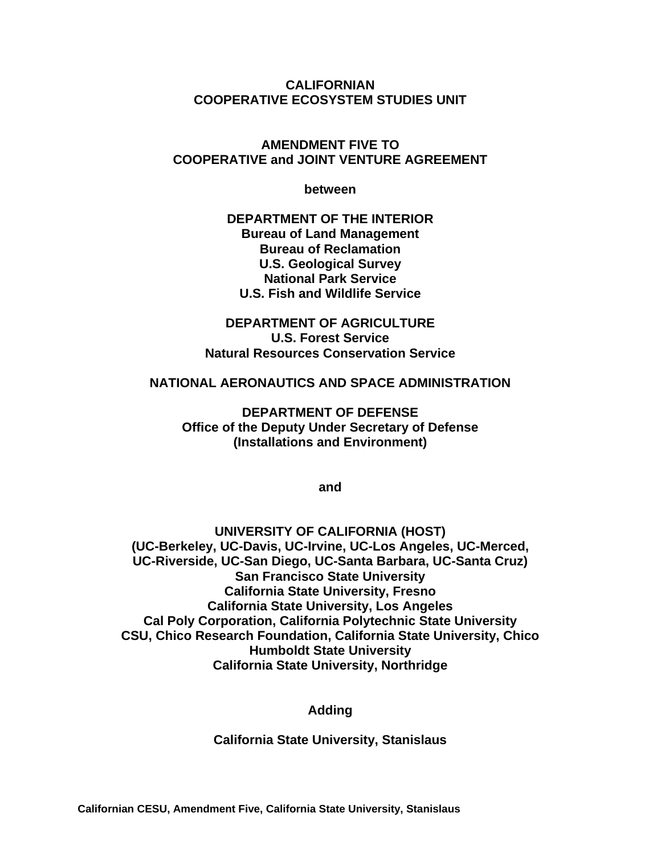**CALIFORNIAN COOPERATIVE ECOSYSTEM STUDIES UNIT** 

### **AMENDMENT FIVE TO COOPERATIVE and JOINT VENTURE AGREEMENT**

**between** 

**DEPARTMENT OF THE INTERIOR Bureau of Land Management Bureau of Reclamation U.S. Geological Survey National Park Service U.S. Fish and Wildlife Service** 

**DEPARTMENT OF AGRICULTURE U.S. Forest Service Natural Resources Conservation Service** 

#### **NATIONAL AERONAUTICS AND SPACE ADMINISTRATION**

**DEPARTMENT OF DEFENSE Office of the Deputy Under Secretary of Defense (Installations and Environment)** 

**and** 

**UNIVERSITY OF CALIFORNIA (HOST) (UC-Berkeley, UC-Davis, UC-Irvine, UC-Los Angeles, UC-Merced, UC-Riverside, UC-San Diego, UC-Santa Barbara, UC-Santa Cruz) San Francisco State University California State University, Fresno California State University, Los Angeles Cal Poly Corporation, California Polytechnic State University CSU, Chico Research Foundation, California State University, Chico Humboldt State University California State University, Northridge** 

**Adding** 

**California State University, Stanislaus**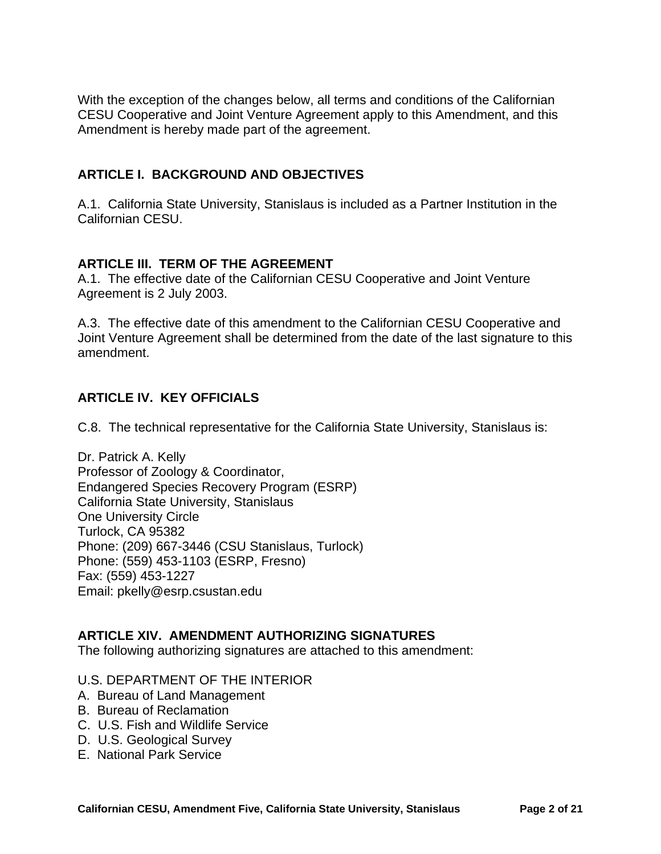With the exception of the changes below, all terms and conditions of the Californian CESU Cooperative and Joint Venture Agreement apply to this Amendment, and this Amendment is hereby made part of the agreement.

### **ARTICLE I. BACKGROUND AND OBJECTIVES**

A.1. California State University, Stanislaus is included as a Partner Institution in the Californian CESU.

### **ARTICLE III. TERM OF THE AGREEMENT**

A.1. The effective date of the Californian CESU Cooperative and Joint Venture Agreement is 2 July 2003.

A.3. The effective date of this amendment to the Californian CESU Cooperative and Joint Venture Agreement shall be determined from the date of the last signature to this amendment.

### **ARTICLE IV. KEY OFFICIALS**

C.8. The technical representative for the California State University, Stanislaus is:

Dr. Patrick A. Kelly Professor of Zoology & Coordinator, Endangered Species Recovery Program (ESRP) California State University, Stanislaus One University Circle Turlock, CA 95382 Phone: (209) 667-3446 (CSU Stanislaus, Turlock) Phone: (559) 453-1103 (ESRP, Fresno) Fax: (559) 453-1227 Email: pkelly@esrp.csustan.edu

### **ARTICLE XIV. AMENDMENT AUTHORIZING SIGNATURES**

The following authorizing signatures are attached to this amendment:

#### U.S. DEPARTMENT OF THE INTERIOR

- A. Bureau of Land Management
- B. Bureau of Reclamation
- C. U.S. Fish and Wildlife Service
- D. U.S. Geological Survey
- E. National Park Service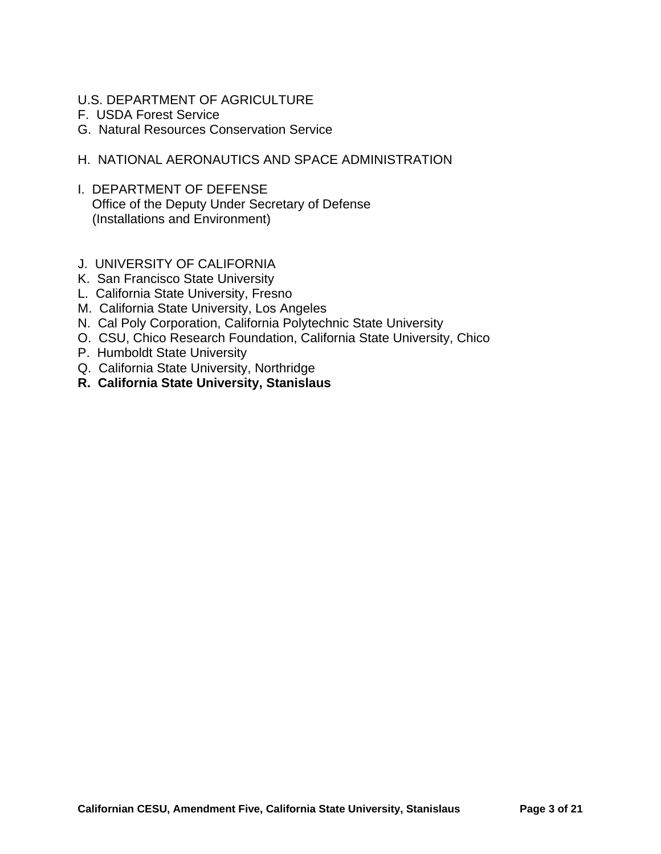- U.S. DEPARTMENT OF AGRICULTURE
- F. USDA Forest Service
- G. Natural Resources Conservation Service
- H. NATIONAL AERONAUTICS AND SPACE ADMINISTRATION
- I. DEPARTMENT OF DEFENSE Office of the Deputy Under Secretary of Defense (Installations and Environment)
- J. UNIVERSITY OF CALIFORNIA
- K. San Francisco State University
- L. California State University, Fresno
- M. California State University, Los Angeles
- N. Cal Poly Corporation, California Polytechnic State University
- O. CSU, Chico Research Foundation, California State University, Chico
- P. Humboldt State University
- Q. California State University, Northridge
- **R. California State University, Stanislaus**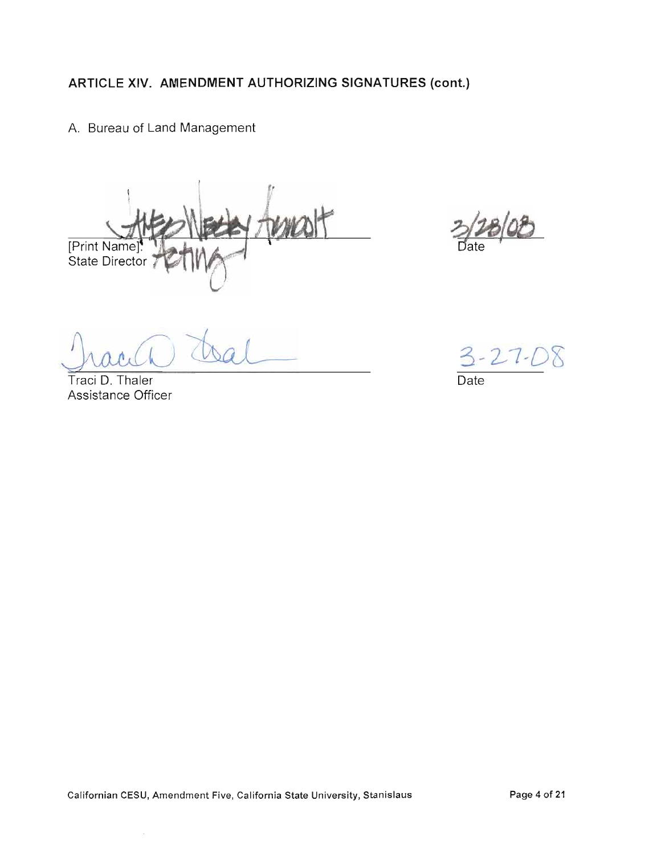A. Bureau of Land Management

[Print Name]<br>State Director

Traci D. Thaler Assistance Officer

3-27-08 Date

 $\sim$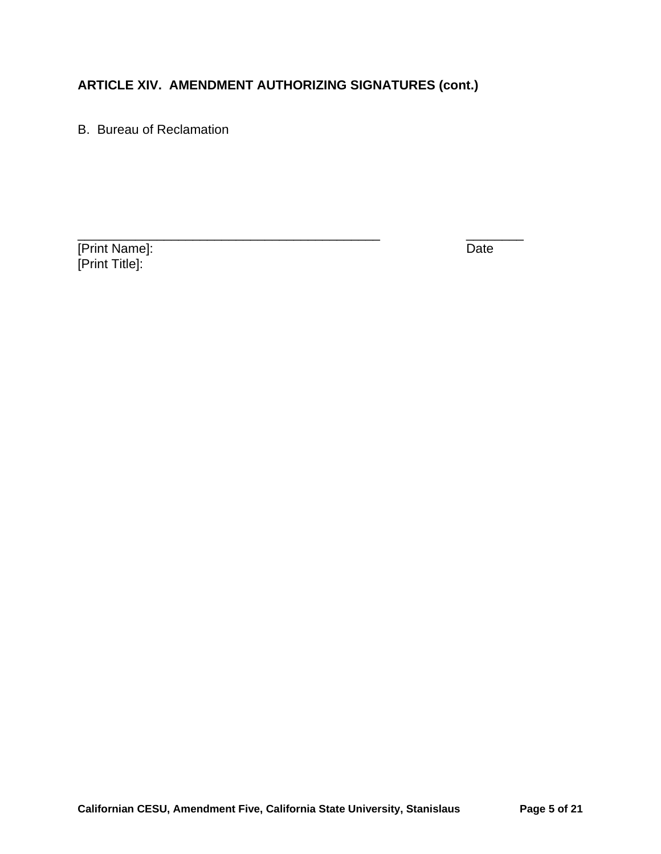B. Bureau of Reclamation

[Print Name]: Date [Print Title]: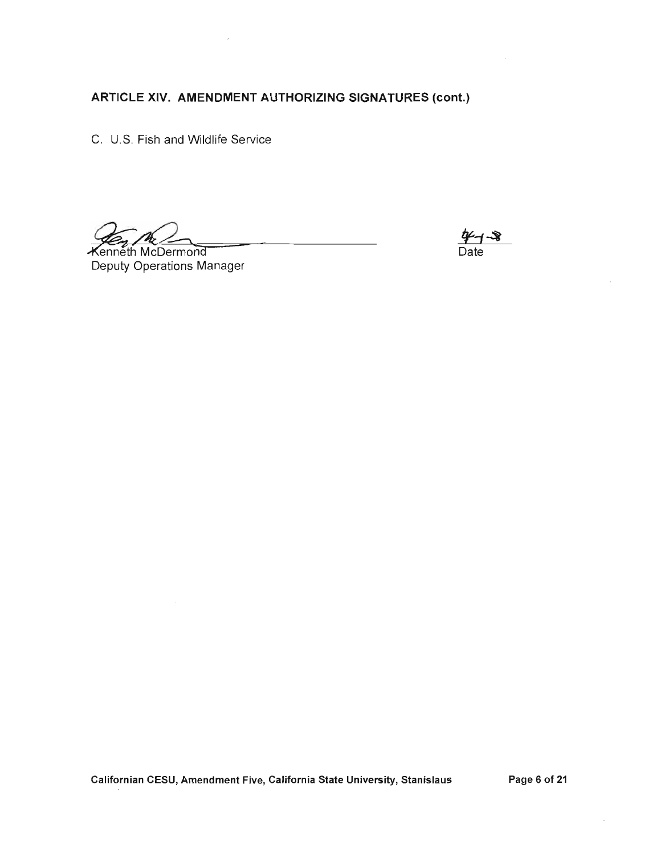C. U.S. Fish and Wildlife Service

**Kenneth McDermond** Deputy Operations Manager

Date

Californian CESU, Amendment Five, California State University, Stanislaus

Page 6 of 21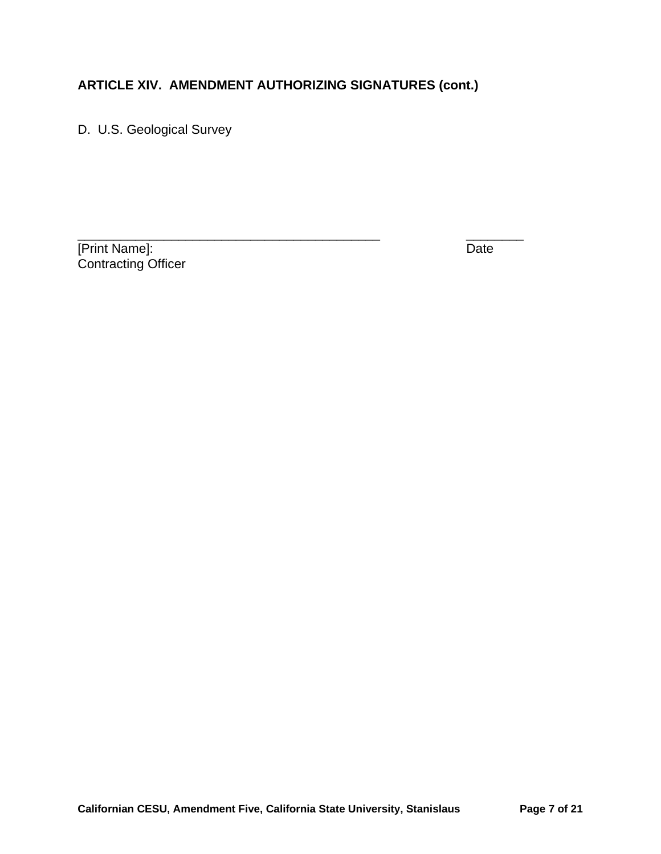D. U.S. Geological Survey

**The Term of Terms** Terms of Terms and Terms of Terms Indians of Terms In the United States of Terms In the United States of Terms In the United States of Terms In the United States of Terms In the United States of Terms I Contracting Officer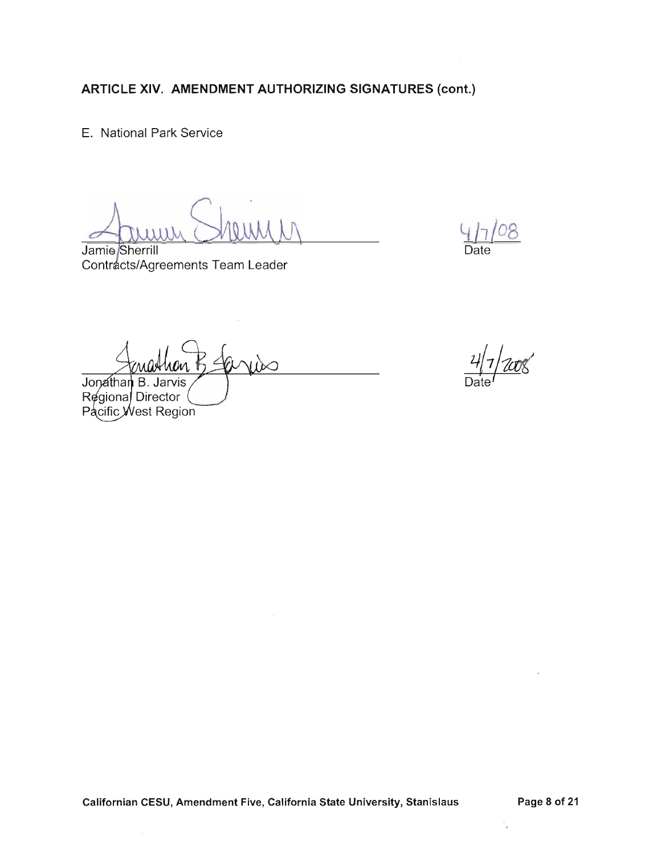E. National Park Service

Jamie Sherrill Contracts/Agreements Team Leader

Date

WO

 $\infty$ Jonathan B. Jarvis

Regional Director Pacific West Region

 $\sim$ 

 $\frac{1}{\alpha}$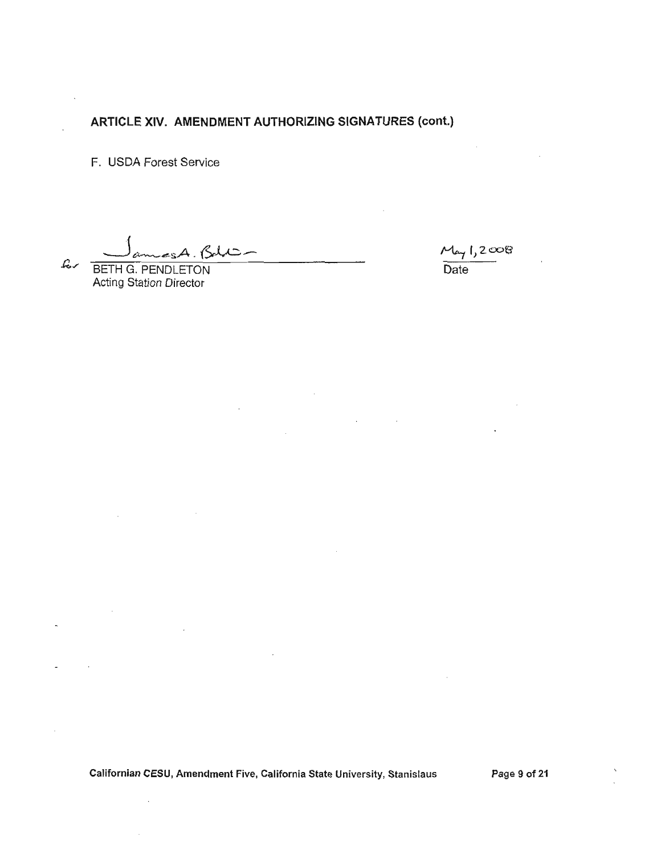F. USDA Forest Service

 $e$ sA. Bell $\sim$  $c$ 

 $\sim$   $\sim$ 

 $\bar{1}$ 

 $M_{44}1,2008$  $\overline{Date}$ 

 $\sim$ 

**Carl Corporation** 

BETH G. PENDLETON Acting Station Director

Californian CESU, Amendment Five, California State University, Stanislaus

Page 9 of 21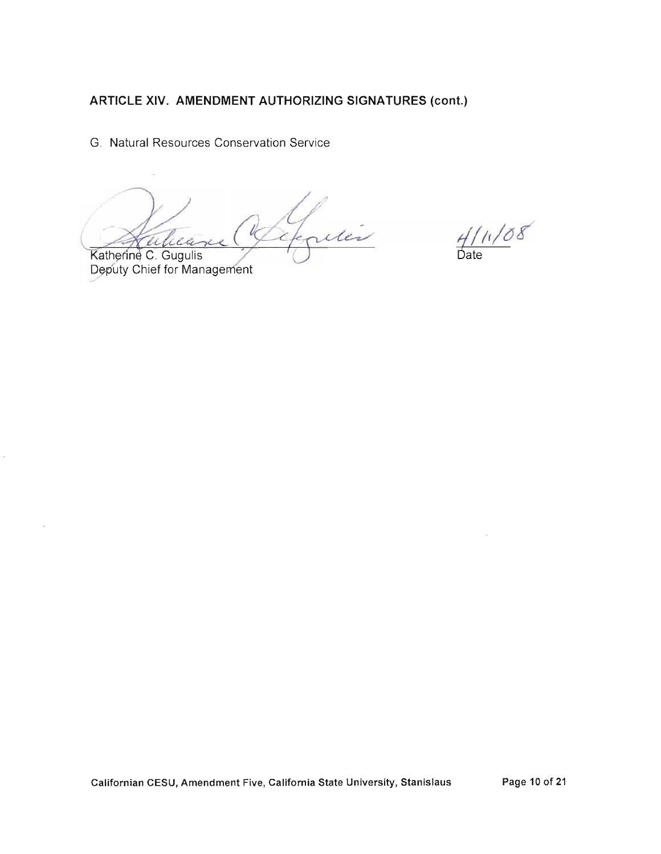G. Natural Resources Conservation Service

Expires li

Katherine C. Gugulis Deputy Chief for Management

 $\frac{4}{10}$  /08

Californian CESU, Amendment Five, California State University, Stanislaus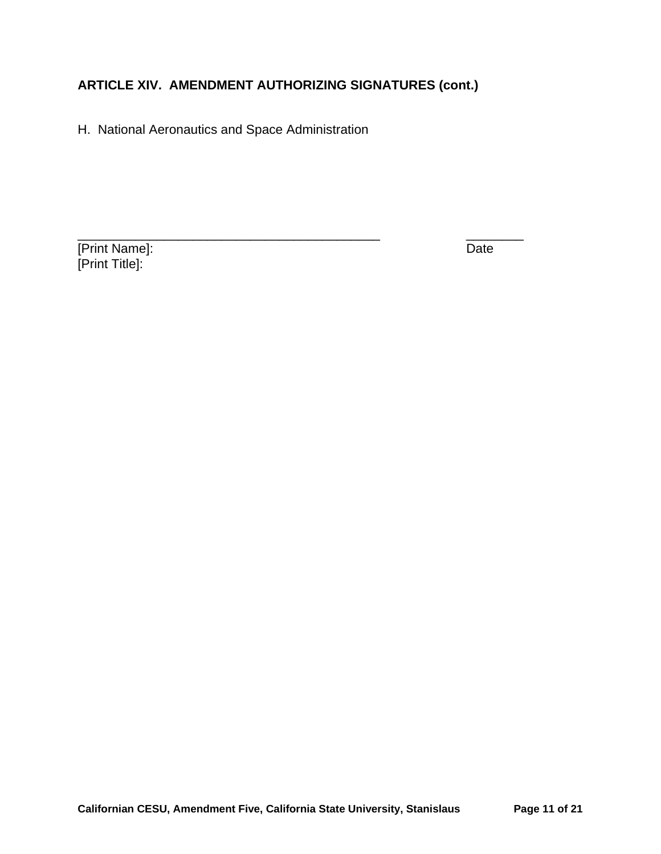H. National Aeronautics and Space Administration

**Print Name]:** Date [Print Title]: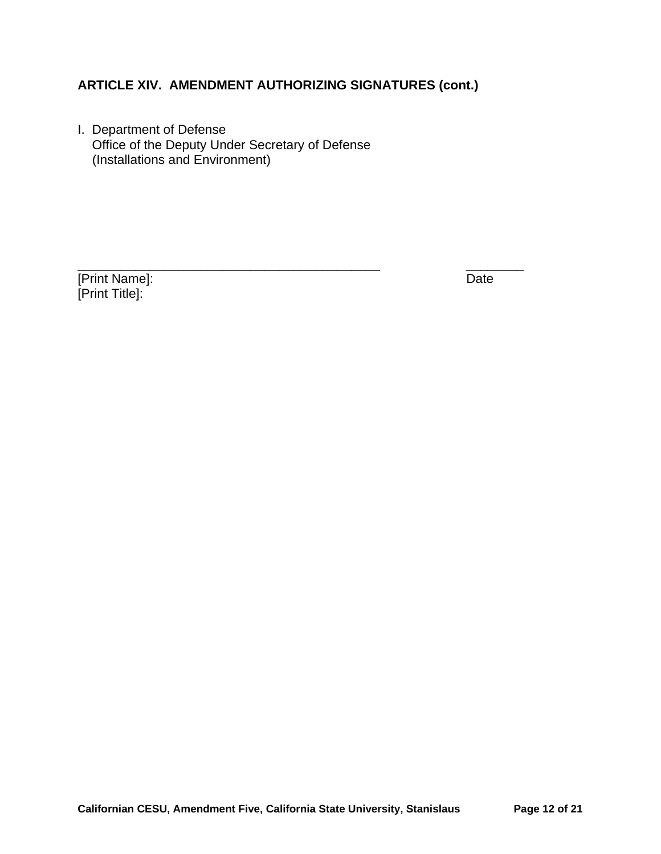\_\_\_\_\_\_\_\_\_\_\_\_\_\_\_\_\_\_\_\_\_\_\_\_\_\_\_\_\_\_\_\_\_\_\_\_\_\_\_\_\_\_ \_\_\_\_\_\_\_\_

I. Department of Defense Office of the Deputy Under Secretary of Defense (Installations and Environment)

[Print Name]: Date [Print Title]: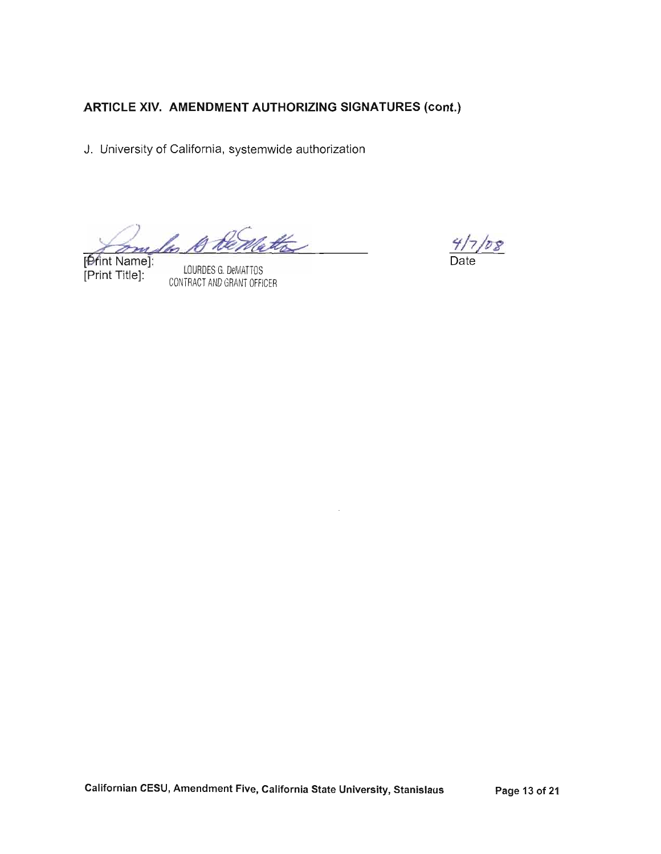J. University of California, systemwide authorization

comples to be matte

[Print Name]: [Print Title]:

LOURDES G. DeMATTOS CONTRACT AND GRANT OFFICER

 $\frac{4}{7}/7$  /08

Californian CESU, Amendment Five, California State University, Stanislaus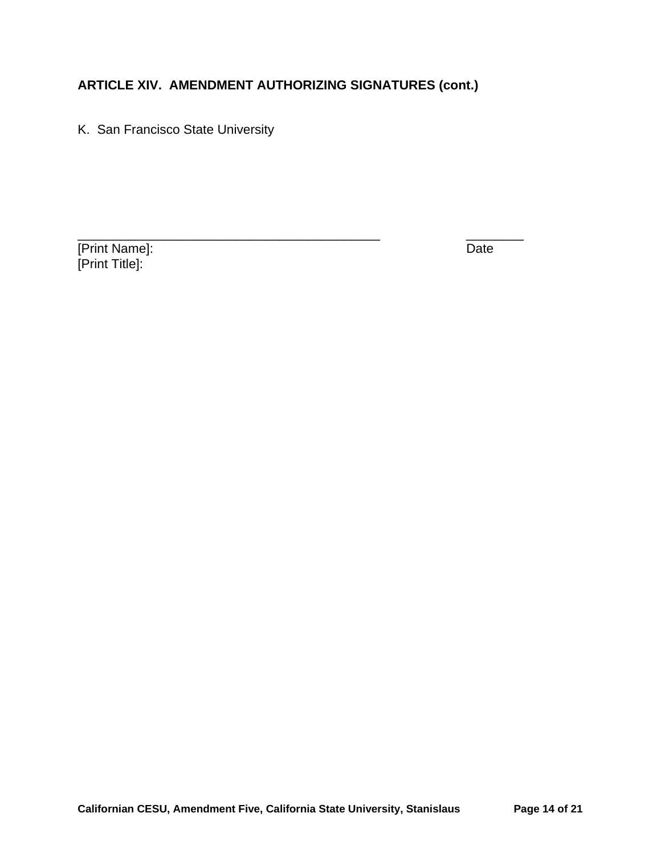K. San Francisco State University

[Print Name]: Date [Print Title]: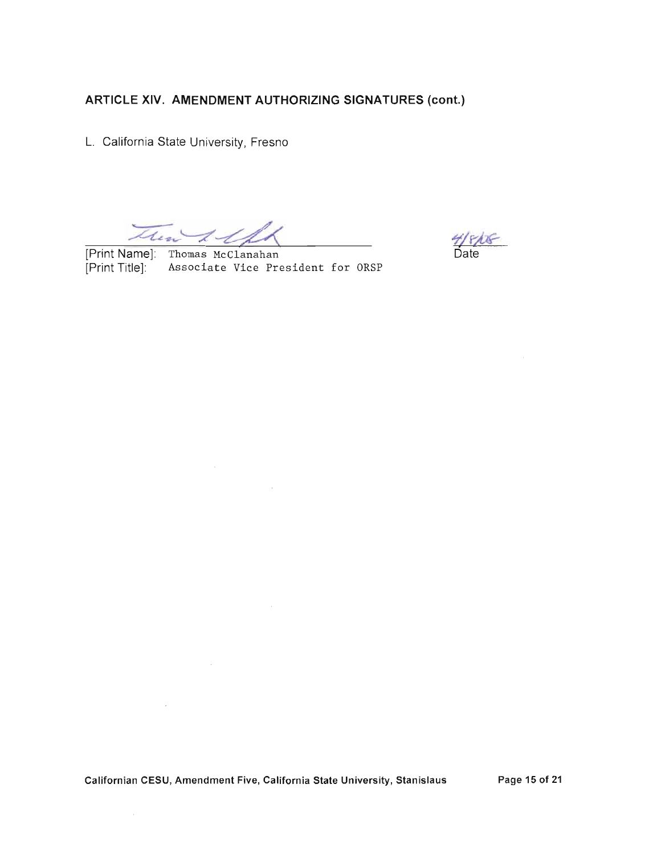L. California State University, Fresno

Then & the

[Print Name]: Thomas McClanahan [Print Title]: Associate Vice President for ORSP

**7/ F/C**<br>Date

 $\bar{z}$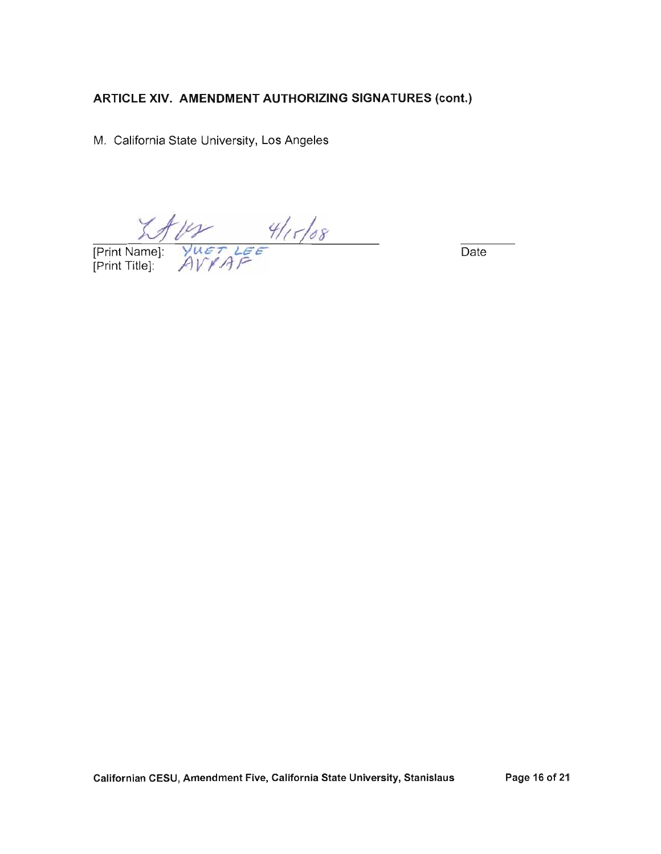M. California State University, Los Angeles

 $M11$ <br>
[Print Name]:  $Y^{\text{H}}$ <br>
[Print Title]:  $AVYAF$ 

Date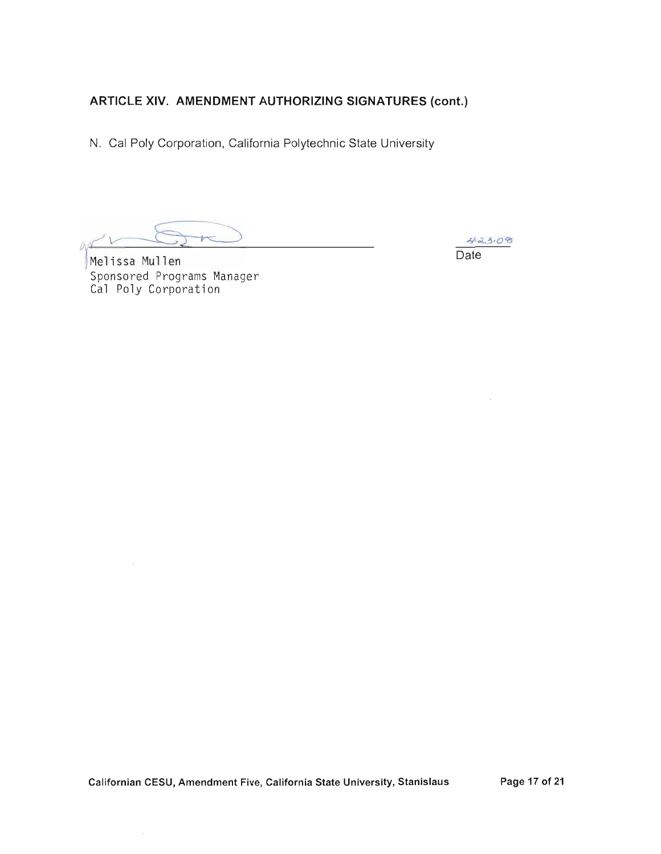N. Cal Poly Corporation, California Polytechnic State University

Melissa Mullen Sponsored Programs Manager Cal Poly Corporation

 $423.08$ Date

 $\cdot$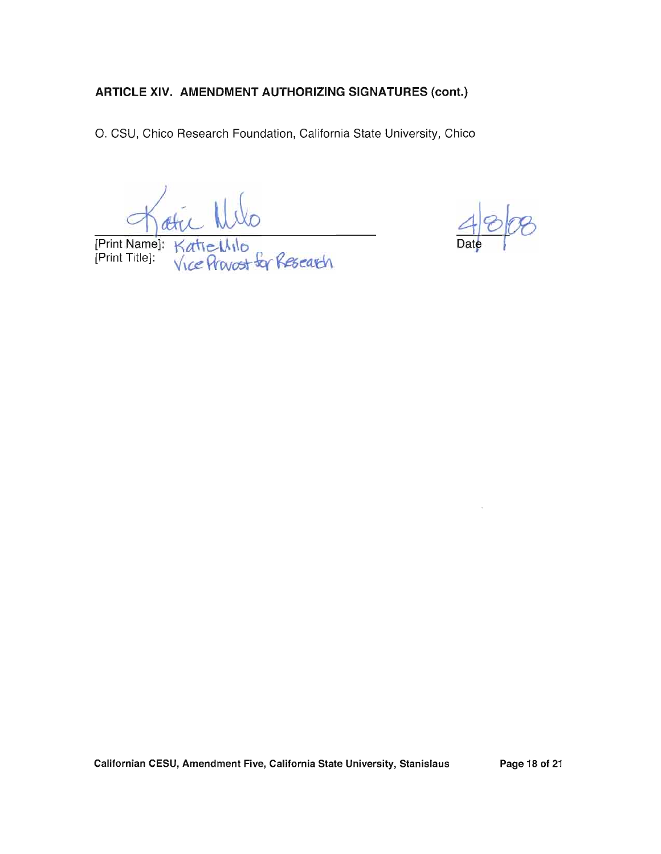O. CSU, Chico Research Foundation, California State University, Chico

att )<br>-<br>*S*or *Resear*ch [Print Name]: Katie Wilo

Californian CESU, Amendment Five, California State University, Stanislaus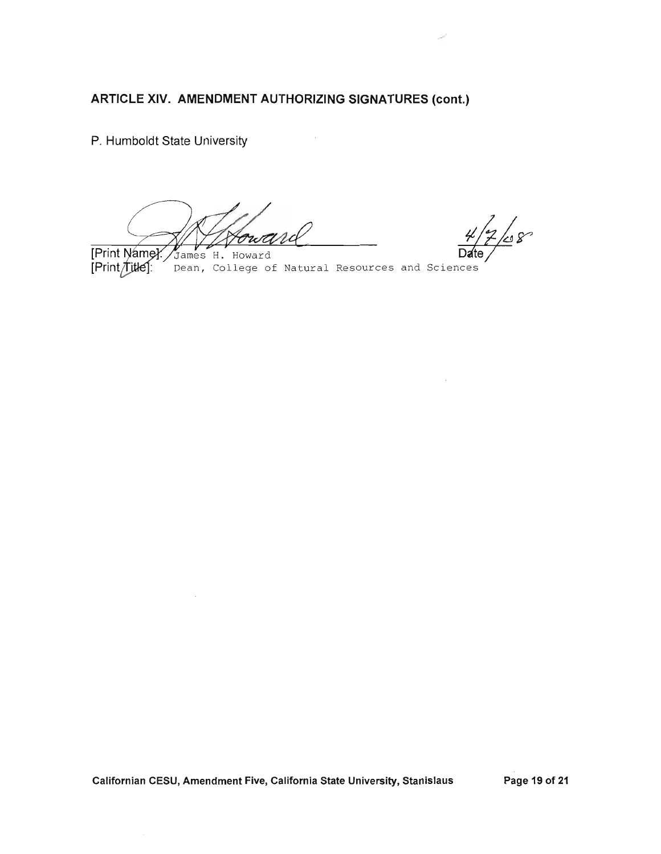P. Humboldt State University

Fortera

 $\frac{1}{2}$ 68

[Print Name]. James H. Howard [Print/title]: Dean, College of Natural Resources and Sciences

Californian CESU, Amendment Five, California State University, Stanislaus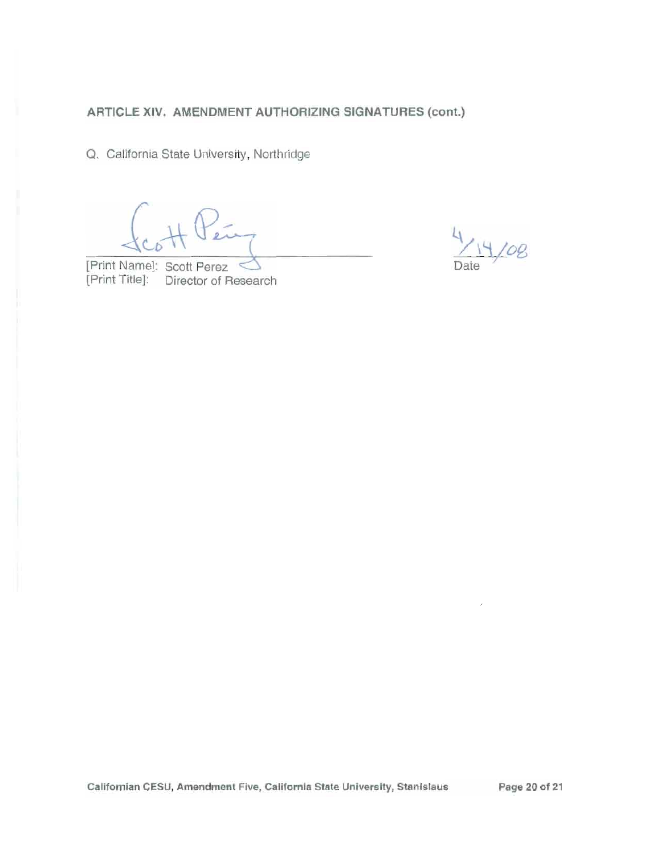Q. California State University, Northridge

[Print Name]: Scott Perez [Print Title]: Director of Research